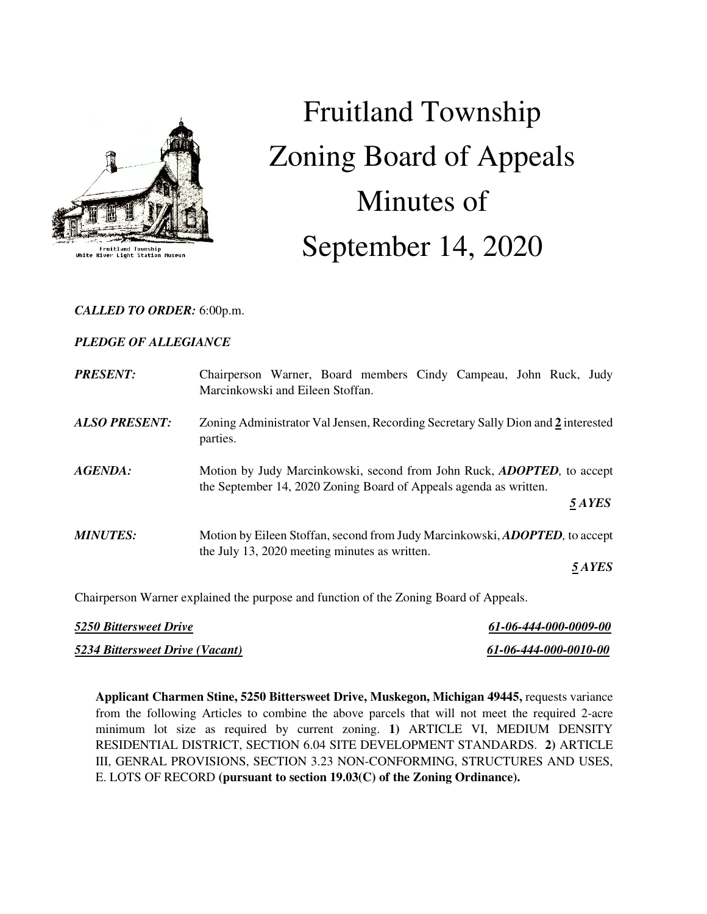

Fruitland Township<br>River Light Station Mus

# Fruitland Township Zoning Board of Appeals Minutes of September 14, 2020

## *CALLED TO ORDER:* 6:00p.m.

# *PLEDGE OF ALLEGIANCE*

| <b>PRESENT:</b>      | Chairperson Warner, Board members Cindy Campeau, John Ruck, Judy<br>Marcinkowski and Eileen Stoffan.                                                          |  |
|----------------------|---------------------------------------------------------------------------------------------------------------------------------------------------------------|--|
| <b>ALSO PRESENT:</b> | Zoning Administrator Val Jensen, Recording Secretary Sally Dion and 2 interested<br>parties.                                                                  |  |
| AGENDA:              | Motion by Judy Marcinkowski, second from John Ruck, <i>ADOPTED</i> , to accept<br>the September 14, 2020 Zoning Board of Appeals agenda as written.<br>5 AYES |  |
|                      |                                                                                                                                                               |  |
| <b>MINUTES:</b>      | Motion by Eileen Stoffan, second from Judy Marcinkowski, <b>ADOPTED</b> , to accept<br>the July 13, 2020 meeting minutes as written.                          |  |
|                      | 5 AYES                                                                                                                                                        |  |

Chairperson Warner explained the purpose and function of the Zoning Board of Appeals.

| <b>5250 Bittersweet Drive</b>          | 61-06-444-000-0009-00 |
|----------------------------------------|-----------------------|
| <b>5234 Bittersweet Drive (Vacant)</b> | 61-06-444-000-0010-00 |

**Applicant Charmen Stine, 5250 Bittersweet Drive, Muskegon, Michigan 49445,** requests variance from the following Articles to combine the above parcels that will not meet the required 2-acre minimum lot size as required by current zoning. **1)** ARTICLE VI, MEDIUM DENSITY RESIDENTIAL DISTRICT, SECTION 6.04 SITE DEVELOPMENT STANDARDS. **2)** ARTICLE III, GENRAL PROVISIONS, SECTION 3.23 NON-CONFORMING, STRUCTURES AND USES, E. LOTS OF RECORD **(pursuant to section 19.03(C) of the Zoning Ordinance).**